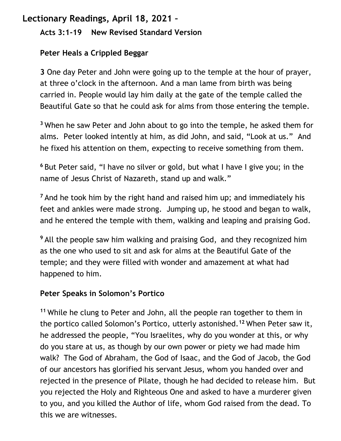## **Lectionary Readings, April 18, 2021 –**

## **Acts 3:1-19 New Revised Standard Version**

## **Peter Heals a Crippled Beggar**

**3** One day Peter and John were going up to the temple at the hour of prayer, at three o'clock in the afternoon. And a man lame from birth was being carried in. People would lay him daily at the gate of the temple called the Beautiful Gate so that he could ask for alms from those entering the temple.

**<sup>3</sup>** When he saw Peter and John about to go into the temple, he asked them for alms. Peter looked intently at him, as did John, and said, "Look at us." And he fixed his attention on them, expecting to receive something from them.

**<sup>6</sup>** But Peter said, "I have no silver or gold, but what I have I give you; in the name of Jesus Christ of Nazareth, stand up and walk."

**<sup>7</sup>** And he took him by the right hand and raised him up; and immediately his feet and ankles were made strong. Jumping up, he stood and began to walk, and he entered the temple with them, walking and leaping and praising God.

**<sup>9</sup>** All the people saw him walking and praising God, and they recognized him as the one who used to sit and ask for alms at the Beautiful Gate of the temple; and they were filled with wonder and amazement at what had happened to him.

## **Peter Speaks in Solomon's Portico**

**<sup>11</sup>** While he clung to Peter and John, all the people ran together to them in the portico called Solomon's Portico, utterly astonished.**<sup>12</sup>** When Peter saw it, he addressed the people, "You Israelites, why do you wonder at this, or why do you stare at us, as though by our own power or piety we had made him walk? The God of Abraham, the God of Isaac, and the God of Jacob, the God of our ancestors has glorified his servant Jesus, whom you handed over and rejected in the presence of Pilate, though he had decided to release him. But you rejected the Holy and Righteous One and asked to have a murderer given to you, and you killed the Author of life, whom God raised from the dead. To this we are witnesses.